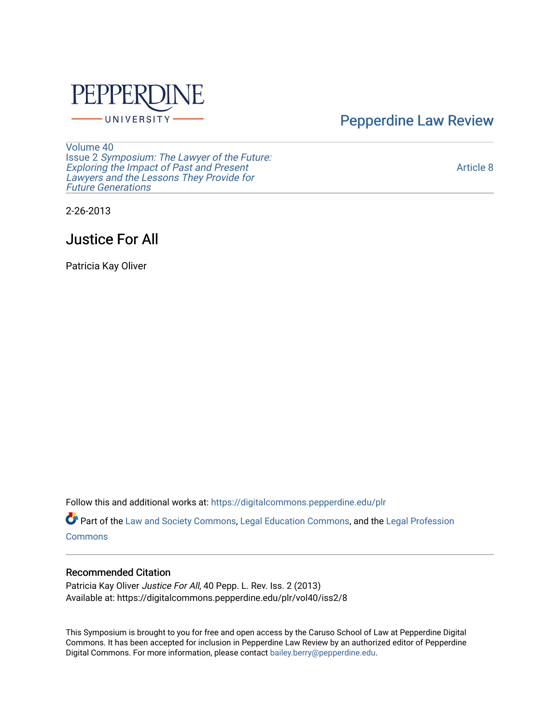

[Pepperdine Law Review](https://digitalcommons.pepperdine.edu/plr) 

[Volume 40](https://digitalcommons.pepperdine.edu/plr/vol40) Issue 2 [Symposium: The Lawyer of the Future:](https://digitalcommons.pepperdine.edu/plr/vol40/iss2)  [Exploring the Impact of Past and Present](https://digitalcommons.pepperdine.edu/plr/vol40/iss2) [Lawyers and the Lessons They Provide for](https://digitalcommons.pepperdine.edu/plr/vol40/iss2)  **Future Generations** 

[Article 8](https://digitalcommons.pepperdine.edu/plr/vol40/iss2/8) 

2-26-2013

# Justice For All

Patricia Kay Oliver

Follow this and additional works at: [https://digitalcommons.pepperdine.edu/plr](https://digitalcommons.pepperdine.edu/plr?utm_source=digitalcommons.pepperdine.edu%2Fplr%2Fvol40%2Fiss2%2F8&utm_medium=PDF&utm_campaign=PDFCoverPages)

Part of the [Law and Society Commons](http://network.bepress.com/hgg/discipline/853?utm_source=digitalcommons.pepperdine.edu%2Fplr%2Fvol40%2Fiss2%2F8&utm_medium=PDF&utm_campaign=PDFCoverPages), [Legal Education Commons](http://network.bepress.com/hgg/discipline/857?utm_source=digitalcommons.pepperdine.edu%2Fplr%2Fvol40%2Fiss2%2F8&utm_medium=PDF&utm_campaign=PDFCoverPages), and the [Legal Profession](http://network.bepress.com/hgg/discipline/1075?utm_source=digitalcommons.pepperdine.edu%2Fplr%2Fvol40%2Fiss2%2F8&utm_medium=PDF&utm_campaign=PDFCoverPages)  **[Commons](http://network.bepress.com/hgg/discipline/1075?utm_source=digitalcommons.pepperdine.edu%2Fplr%2Fvol40%2Fiss2%2F8&utm_medium=PDF&utm_campaign=PDFCoverPages)** 

# Recommended Citation

Patricia Kay Oliver Justice For All, 40 Pepp. L. Rev. Iss. 2 (2013) Available at: https://digitalcommons.pepperdine.edu/plr/vol40/iss2/8

This Symposium is brought to you for free and open access by the Caruso School of Law at Pepperdine Digital Commons. It has been accepted for inclusion in Pepperdine Law Review by an authorized editor of Pepperdine Digital Commons. For more information, please contact [bailey.berry@pepperdine.edu.](mailto:bailey.berry@pepperdine.edu)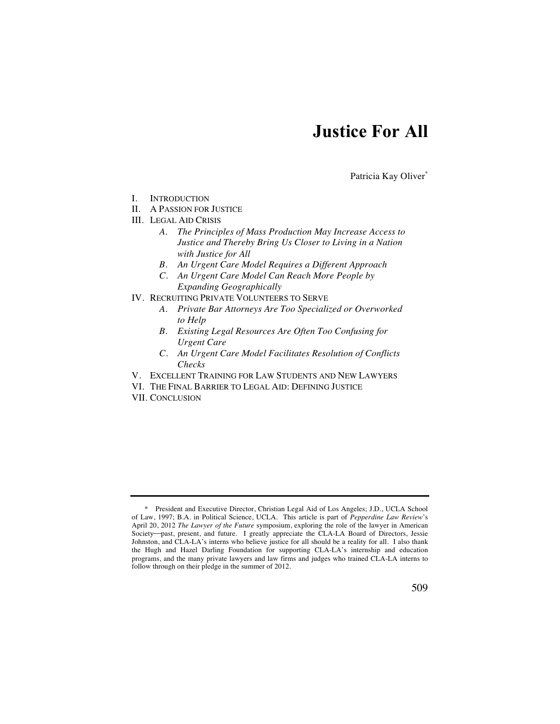# **Justice For All**

Patricia Kay Oliver\*

- I. INTRODUCTION
- II. A PASSION FOR JUSTICE
- III. LEGAL AID CRISIS
	- *A. The Principles of Mass Production May Increase Access to Justice and Thereby Bring Us Closer to Living in a Nation with Justice for All*
	- *B. An Urgent Care Model Requires a Different Approach*
	- *C. An Urgent Care Model Can Reach More People by Expanding Geographically*
- IV. RECRUITING PRIVATE VOLUNTEERS TO SERVE
	- *A. Private Bar Attorneys Are Too Specialized or Overworked to Help*
	- *B. Existing Legal Resources Are Often Too Confusing for Urgent Care*
	- *C. An Urgent Care Model Facilitates Resolution of Conflicts Checks*
- V. EXCELLENT TRAINING FOR LAW STUDENTS AND NEW LAWYERS
- VI. THE FINAL BARRIER TO LEGAL AID: DEFINING JUSTICE
- VII. CONCLUSION

 <sup>\*</sup> President and Executive Director, Christian Legal Aid of Los Angeles; J.D., UCLA School of Law, 1997; B.A. in Political Science, UCLA. This article is part of *Pepperdine Law Review*'s April 20, 2012 *The Lawyer of the Future* symposium, exploring the role of the lawyer in American Society-past, present, and future. I greatly appreciate the CLA-LA Board of Directors, Jessie Johnston, and CLA-LA's interns who believe justice for all should be a reality for all. I also thank the Hugh and Hazel Darling Foundation for supporting CLA-LA's internship and education programs, and the many private lawyers and law firms and judges who trained CLA-LA interns to follow through on their pledge in the summer of 2012.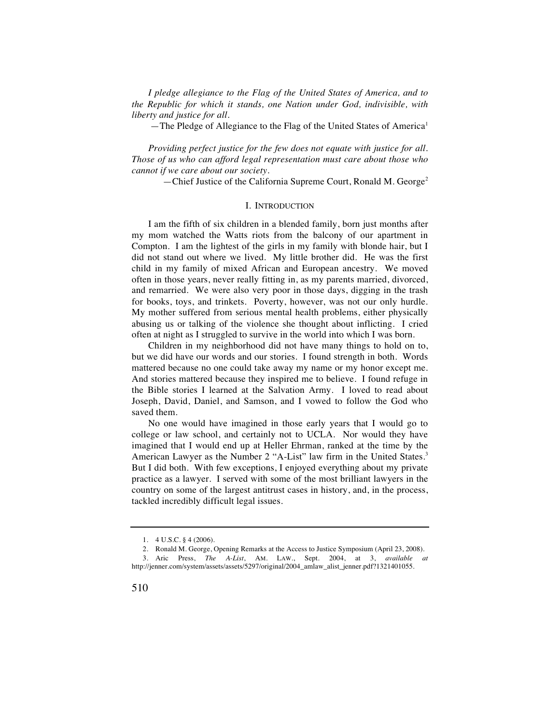*I pledge allegiance to the Flag of the United States of America, and to the Republic for which it stands, one Nation under God, indivisible, with liberty and justice for all.* 

—The Pledge of Allegiance to the Flag of the United States of America<sup>1</sup>

*Providing perfect justice for the few does not equate with justice for all. Those of us who can afford legal representation must care about those who cannot if we care about our society.* 

—Chief Justice of the California Supreme Court, Ronald M. George<sup>2</sup>

# I. INTRODUCTION

I am the fifth of six children in a blended family, born just months after my mom watched the Watts riots from the balcony of our apartment in Compton. I am the lightest of the girls in my family with blonde hair, but I did not stand out where we lived. My little brother did. He was the first child in my family of mixed African and European ancestry. We moved often in those years, never really fitting in, as my parents married, divorced, and remarried. We were also very poor in those days, digging in the trash for books, toys, and trinkets. Poverty, however, was not our only hurdle. My mother suffered from serious mental health problems, either physically abusing us or talking of the violence she thought about inflicting. I cried often at night as I struggled to survive in the world into which I was born.

Children in my neighborhood did not have many things to hold on to, but we did have our words and our stories. I found strength in both. Words mattered because no one could take away my name or my honor except me. And stories mattered because they inspired me to believe. I found refuge in the Bible stories I learned at the Salvation Army. I loved to read about Joseph, David, Daniel, and Samson, and I vowed to follow the God who saved them.

No one would have imagined in those early years that I would go to college or law school, and certainly not to UCLA. Nor would they have imagined that I would end up at Heller Ehrman, ranked at the time by the American Lawyer as the Number 2 "A-List" law firm in the United States.<sup>3</sup> But I did both. With few exceptions, I enjoyed everything about my private practice as a lawyer. I served with some of the most brilliant lawyers in the country on some of the largest antitrust cases in history, and, in the process, tackled incredibly difficult legal issues.

 <sup>1. 4</sup> U.S.C. § 4 (2006).

 <sup>2.</sup> Ronald M. George, Opening Remarks at the Access to Justice Symposium (April 23, 2008).

 <sup>3.</sup> Aric Press, *The A-List*, AM. LAW., Sept. 2004, at 3, *available at* http://jenner.com/system/assets/assets/5297/original/2004\_amlaw\_alist\_jenner.pdf?1321401055.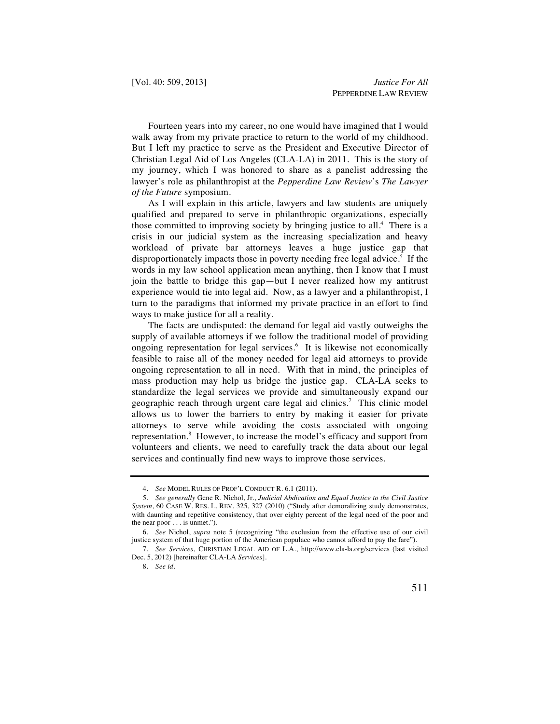Fourteen years into my career, no one would have imagined that I would walk away from my private practice to return to the world of my childhood. But I left my practice to serve as the President and Executive Director of Christian Legal Aid of Los Angeles (CLA-LA) in 2011. This is the story of my journey, which I was honored to share as a panelist addressing the lawyer's role as philanthropist at the *Pepperdine Law Review*'s *The Lawyer of the Future* symposium.

As I will explain in this article, lawyers and law students are uniquely qualified and prepared to serve in philanthropic organizations, especially those committed to improving society by bringing justice to all.<sup>4</sup> There is a crisis in our judicial system as the increasing specialization and heavy workload of private bar attorneys leaves a huge justice gap that disproportionately impacts those in poverty needing free legal advice.<sup>5</sup> If the words in my law school application mean anything, then I know that I must join the battle to bridge this gap—but I never realized how my antitrust experience would tie into legal aid. Now, as a lawyer and a philanthropist, I turn to the paradigms that informed my private practice in an effort to find ways to make justice for all a reality.

The facts are undisputed: the demand for legal aid vastly outweighs the supply of available attorneys if we follow the traditional model of providing ongoing representation for legal services.<sup>6</sup> It is likewise not economically feasible to raise all of the money needed for legal aid attorneys to provide ongoing representation to all in need. With that in mind, the principles of mass production may help us bridge the justice gap. CLA-LA seeks to standardize the legal services we provide and simultaneously expand our geographic reach through urgent care legal aid clinics.7 This clinic model allows us to lower the barriers to entry by making it easier for private attorneys to serve while avoiding the costs associated with ongoing representation.<sup>8</sup> However, to increase the model's efficacy and support from volunteers and clients, we need to carefully track the data about our legal services and continually find new ways to improve those services.

 <sup>4.</sup> *See* MODEL RULES OF PROF'L CONDUCT R. 6.1 (2011).

 <sup>5.</sup> *See generally* Gene R. Nichol, Jr., *Judicial Abdication and Equal Justice to the Civil Justice System*, 60 CASE W. RES. L. REV. 325, 327 (2010) ("Study after demoralizing study demonstrates, with daunting and repetitive consistency, that over eighty percent of the legal need of the poor and the near poor . . . is unmet.").

 <sup>6.</sup> *See* Nichol, *supra* note 5 (recognizing "the exclusion from the effective use of our civil justice system of that huge portion of the American populace who cannot afford to pay the fare").

 <sup>7.</sup> *See Services*, CHRISTIAN LEGAL AID OF L.A., http://www.cla-la.org/services (last visited Dec. 5, 2012) [hereinafter CLA-LA *Services*].

 <sup>8.</sup> *See id.*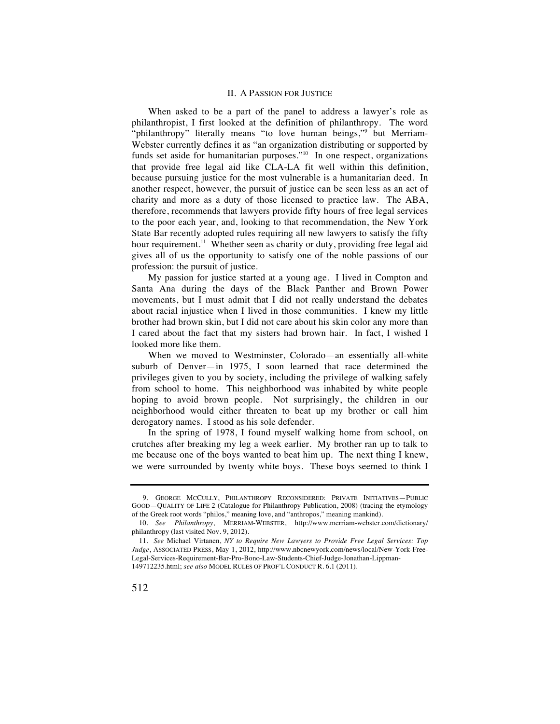## II. A PASSION FOR JUSTICE

When asked to be a part of the panel to address a lawyer's role as philanthropist, I first looked at the definition of philanthropy. The word "philanthropy" literally means "to love human beings," but Merriam-Webster currently defines it as "an organization distributing or supported by funds set aside for humanitarian purposes."<sup>10</sup> In one respect, organizations that provide free legal aid like CLA-LA fit well within this definition, because pursuing justice for the most vulnerable is a humanitarian deed. In another respect, however, the pursuit of justice can be seen less as an act of charity and more as a duty of those licensed to practice law. The ABA, therefore, recommends that lawyers provide fifty hours of free legal services to the poor each year, and, looking to that recommendation, the New York State Bar recently adopted rules requiring all new lawyers to satisfy the fifty hour requirement.<sup>11</sup> Whether seen as charity or duty, providing free legal aid gives all of us the opportunity to satisfy one of the noble passions of our profession: the pursuit of justice.

My passion for justice started at a young age. I lived in Compton and Santa Ana during the days of the Black Panther and Brown Power movements, but I must admit that I did not really understand the debates about racial injustice when I lived in those communities. I knew my little brother had brown skin, but I did not care about his skin color any more than I cared about the fact that my sisters had brown hair. In fact, I wished I looked more like them.

When we moved to Westminster, Colorado—an essentially all-white suburb of Denver—in 1975, I soon learned that race determined the privileges given to you by society, including the privilege of walking safely from school to home. This neighborhood was inhabited by white people hoping to avoid brown people. Not surprisingly, the children in our neighborhood would either threaten to beat up my brother or call him derogatory names. I stood as his sole defender.

In the spring of 1978, I found myself walking home from school, on crutches after breaking my leg a week earlier. My brother ran up to talk to me because one of the boys wanted to beat him up. The next thing I knew, we were surrounded by twenty white boys. These boys seemed to think I

 <sup>9.</sup> GEORGE MCCULLY, PHILANTHROPY RECONSIDERED: PRIVATE INITIATIVES—PUBLIC GOOD—QUALITY OF LIFE 2 (Catalogue for Philanthropy Publication, 2008) (tracing the etymology of the Greek root words "philos," meaning love, and "anthropos," meaning mankind).

<sup>10</sup>*. See Philanthropy*, MERRIAM-WEBSTER, http://www.merriam-webster.com/dictionary/ philanthropy (last visited Nov. 9, 2012).

<sup>11</sup>*. See* Michael Virtanen, *NY to Require New Lawyers to Provide Free Legal Services: Top Judge*, ASSOCIATED PRESS, May 1, 2012, http://www.nbcnewyork.com/news/local/New-York-Free-Legal-Services-Requirement-Bar-Pro-Bono-Law-Students-Chief-Judge-Jonathan-Lippman-149712235.html; *see also* MODEL RULES OF PROF'L CONDUCT R. 6.1 (2011).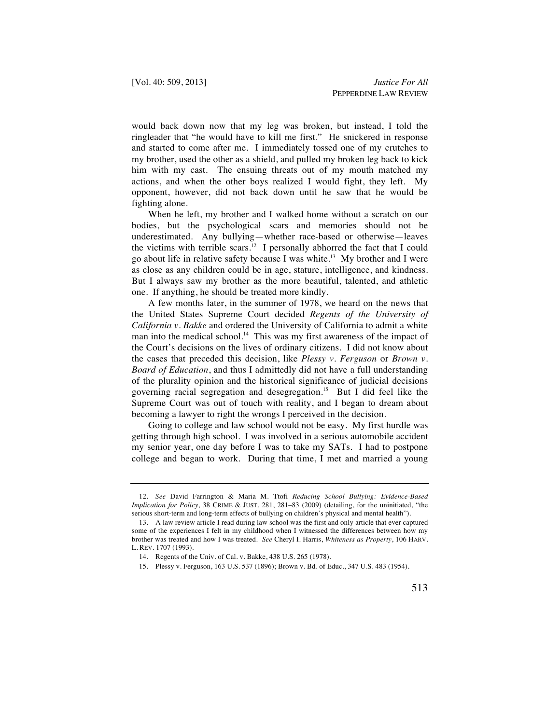would back down now that my leg was broken, but instead, I told the ringleader that "he would have to kill me first." He snickered in response and started to come after me. I immediately tossed one of my crutches to my brother, used the other as a shield, and pulled my broken leg back to kick him with my cast. The ensuing threats out of my mouth matched my actions, and when the other boys realized I would fight, they left. My opponent, however, did not back down until he saw that he would be fighting alone.

When he left, my brother and I walked home without a scratch on our bodies, but the psychological scars and memories should not be underestimated. Any bullying—whether race-based or otherwise—leaves the victims with terrible scars.<sup>12</sup> I personally abhorred the fact that I could go about life in relative safety because I was white.<sup>13</sup> My brother and I were as close as any children could be in age, stature, intelligence, and kindness. But I always saw my brother as the more beautiful, talented, and athletic one. If anything, he should be treated more kindly.

A few months later, in the summer of 1978, we heard on the news that the United States Supreme Court decided *Regents of the University of California v. Bakke* and ordered the University of California to admit a white man into the medical school.<sup>14</sup> This was my first awareness of the impact of the Court's decisions on the lives of ordinary citizens. I did not know about the cases that preceded this decision, like *Plessy v. Ferguson* or *Brown v. Board of Education*, and thus I admittedly did not have a full understanding of the plurality opinion and the historical significance of judicial decisions governing racial segregation and desegregation.15 But I did feel like the Supreme Court was out of touch with reality, and I began to dream about becoming a lawyer to right the wrongs I perceived in the decision.

Going to college and law school would not be easy. My first hurdle was getting through high school. I was involved in a serious automobile accident my senior year, one day before I was to take my SATs. I had to postpone college and began to work. During that time, I met and married a young

 <sup>12.</sup> *See* David Farrington & Maria M. Ttofi *Reducing School Bullying: Evidence-Based Implication for Policy*, 38 CRIME & JUST. 281, 281–83 (2009) (detailing, for the uninitiated, "the serious short-term and long-term effects of bullying on children's physical and mental health").

 <sup>13.</sup> A law review article I read during law school was the first and only article that ever captured some of the experiences I felt in my childhood when I witnessed the differences between how my brother was treated and how I was treated. *See* Cheryl I. Harris, *Whiteness as Property*, 106 HARV. L. REV. 1707 (1993).

 <sup>14.</sup> Regents of the Univ. of Cal. v. Bakke, 438 U.S. 265 (1978).

 <sup>15.</sup> Plessy v. Ferguson, 163 U.S. 537 (1896); Brown v. Bd. of Educ., 347 U.S. 483 (1954).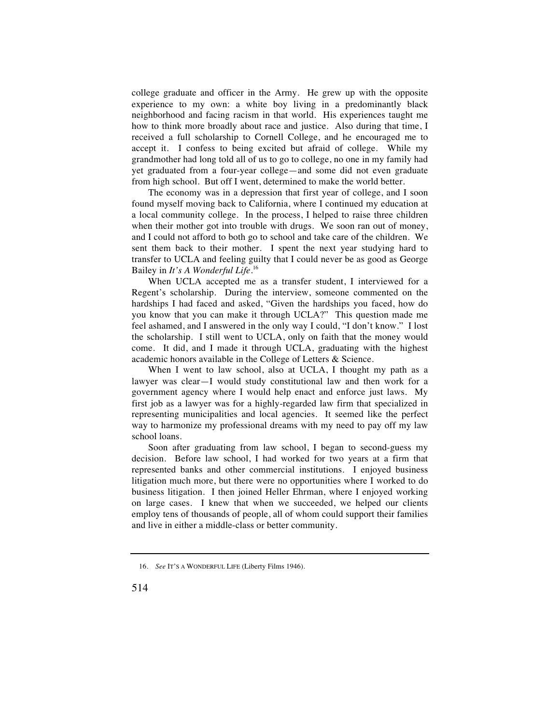college graduate and officer in the Army. He grew up with the opposite experience to my own: a white boy living in a predominantly black neighborhood and facing racism in that world. His experiences taught me how to think more broadly about race and justice. Also during that time, I received a full scholarship to Cornell College, and he encouraged me to accept it. I confess to being excited but afraid of college. While my grandmother had long told all of us to go to college, no one in my family had yet graduated from a four-year college—and some did not even graduate from high school. But off I went, determined to make the world better.

The economy was in a depression that first year of college, and I soon found myself moving back to California, where I continued my education at a local community college. In the process, I helped to raise three children when their mother got into trouble with drugs. We soon ran out of money, and I could not afford to both go to school and take care of the children. We sent them back to their mother. I spent the next year studying hard to transfer to UCLA and feeling guilty that I could never be as good as George Bailey in *It's A Wonderful Life*. 16

When UCLA accepted me as a transfer student, I interviewed for a Regent's scholarship. During the interview, someone commented on the hardships I had faced and asked, "Given the hardships you faced, how do you know that you can make it through UCLA?" This question made me feel ashamed, and I answered in the only way I could, "I don't know." I lost the scholarship. I still went to UCLA, only on faith that the money would come. It did, and I made it through UCLA, graduating with the highest academic honors available in the College of Letters & Science.

When I went to law school, also at UCLA, I thought my path as a lawyer was clear—I would study constitutional law and then work for a government agency where I would help enact and enforce just laws. My first job as a lawyer was for a highly-regarded law firm that specialized in representing municipalities and local agencies. It seemed like the perfect way to harmonize my professional dreams with my need to pay off my law school loans.

Soon after graduating from law school, I began to second-guess my decision. Before law school, I had worked for two years at a firm that represented banks and other commercial institutions. I enjoyed business litigation much more, but there were no opportunities where I worked to do business litigation. I then joined Heller Ehrman, where I enjoyed working on large cases. I knew that when we succeeded, we helped our clients employ tens of thousands of people, all of whom could support their families and live in either a middle-class or better community.

 <sup>16.</sup> *See* IT'S A WONDERFUL LIFE (Liberty Films 1946).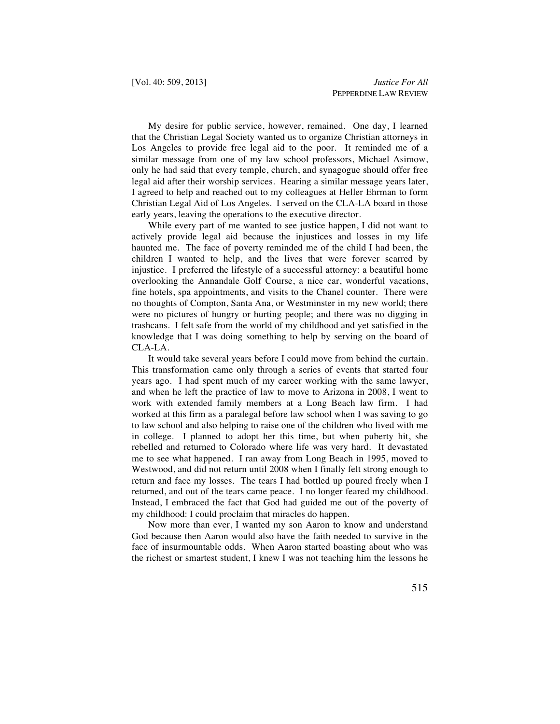My desire for public service, however, remained. One day, I learned that the Christian Legal Society wanted us to organize Christian attorneys in Los Angeles to provide free legal aid to the poor. It reminded me of a similar message from one of my law school professors, Michael Asimow, only he had said that every temple, church, and synagogue should offer free legal aid after their worship services. Hearing a similar message years later, I agreed to help and reached out to my colleagues at Heller Ehrman to form Christian Legal Aid of Los Angeles. I served on the CLA-LA board in those early years, leaving the operations to the executive director.

While every part of me wanted to see justice happen, I did not want to actively provide legal aid because the injustices and losses in my life haunted me. The face of poverty reminded me of the child I had been, the children I wanted to help, and the lives that were forever scarred by injustice. I preferred the lifestyle of a successful attorney: a beautiful home overlooking the Annandale Golf Course, a nice car, wonderful vacations, fine hotels, spa appointments, and visits to the Chanel counter. There were no thoughts of Compton, Santa Ana, or Westminster in my new world; there were no pictures of hungry or hurting people; and there was no digging in trashcans. I felt safe from the world of my childhood and yet satisfied in the knowledge that I was doing something to help by serving on the board of CLA-LA.

It would take several years before I could move from behind the curtain. This transformation came only through a series of events that started four years ago. I had spent much of my career working with the same lawyer, and when he left the practice of law to move to Arizona in 2008, I went to work with extended family members at a Long Beach law firm. I had worked at this firm as a paralegal before law school when I was saving to go to law school and also helping to raise one of the children who lived with me in college. I planned to adopt her this time, but when puberty hit, she rebelled and returned to Colorado where life was very hard. It devastated me to see what happened. I ran away from Long Beach in 1995, moved to Westwood, and did not return until 2008 when I finally felt strong enough to return and face my losses. The tears I had bottled up poured freely when I returned, and out of the tears came peace. I no longer feared my childhood. Instead, I embraced the fact that God had guided me out of the poverty of my childhood: I could proclaim that miracles do happen.

Now more than ever, I wanted my son Aaron to know and understand God because then Aaron would also have the faith needed to survive in the face of insurmountable odds. When Aaron started boasting about who was the richest or smartest student, I knew I was not teaching him the lessons he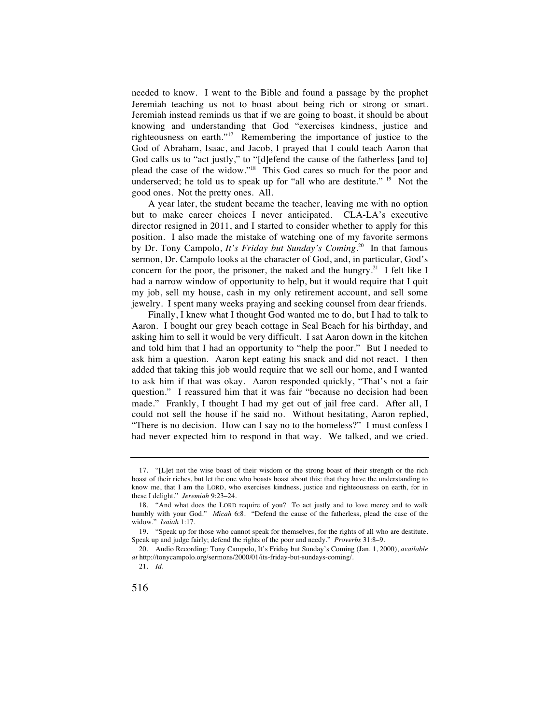needed to know. I went to the Bible and found a passage by the prophet Jeremiah teaching us not to boast about being rich or strong or smart. Jeremiah instead reminds us that if we are going to boast, it should be about knowing and understanding that God "exercises kindness, justice and righteousness on earth."17 Remembering the importance of justice to the God of Abraham, Isaac, and Jacob, I prayed that I could teach Aaron that God calls us to "act justly," to "[d]efend the cause of the fatherless [and to] plead the case of the widow."18 This God cares so much for the poor and underserved; he told us to speak up for "all who are destitute."  $19$  Not the good ones. Not the pretty ones. All.

A year later, the student became the teacher, leaving me with no option but to make career choices I never anticipated. CLA-LA's executive director resigned in 2011, and I started to consider whether to apply for this position. I also made the mistake of watching one of my favorite sermons by Dr. Tony Campolo, *It's Friday but Sunday's Coming*. 20 In that famous sermon, Dr. Campolo looks at the character of God, and, in particular, God's concern for the poor, the prisoner, the naked and the hungry.<sup>21</sup> I felt like I had a narrow window of opportunity to help, but it would require that I quit my job, sell my house, cash in my only retirement account, and sell some jewelry. I spent many weeks praying and seeking counsel from dear friends.

Finally, I knew what I thought God wanted me to do, but I had to talk to Aaron. I bought our grey beach cottage in Seal Beach for his birthday, and asking him to sell it would be very difficult. I sat Aaron down in the kitchen and told him that I had an opportunity to "help the poor." But I needed to ask him a question. Aaron kept eating his snack and did not react. I then added that taking this job would require that we sell our home, and I wanted to ask him if that was okay. Aaron responded quickly, "That's not a fair question." I reassured him that it was fair "because no decision had been made." Frankly, I thought I had my get out of jail free card. After all, I could not sell the house if he said no. Without hesitating, Aaron replied, "There is no decision. How can I say no to the homeless?" I must confess I had never expected him to respond in that way. We talked, and we cried.

 <sup>17. &</sup>quot;[L]et not the wise boast of their wisdom or the strong boast of their strength or the rich boast of their riches, but let the one who boasts boast about this: that they have the understanding to know me, that I am the LORD, who exercises kindness, justice and righteousness on earth, for in these I delight." *Jeremiah* 9:23–24.

 <sup>18. &</sup>quot;And what does the LORD require of you? To act justly and to love mercy and to walk humbly with your God." *Micah* 6:8. "Defend the cause of the fatherless, plead the case of the widow." *Isaiah* 1:17.

 <sup>19. &</sup>quot;Speak up for those who cannot speak for themselves, for the rights of all who are destitute. Speak up and judge fairly; defend the rights of the poor and needy." *Proverbs* 31:8–9.

 <sup>20.</sup> Audio Recording: Tony Campolo, It's Friday but Sunday's Coming (Jan. 1, 2000), *available at* http://tonycampolo.org/sermons/2000/01/its-friday-but-sundays-coming/.

 <sup>21.</sup> *Id.*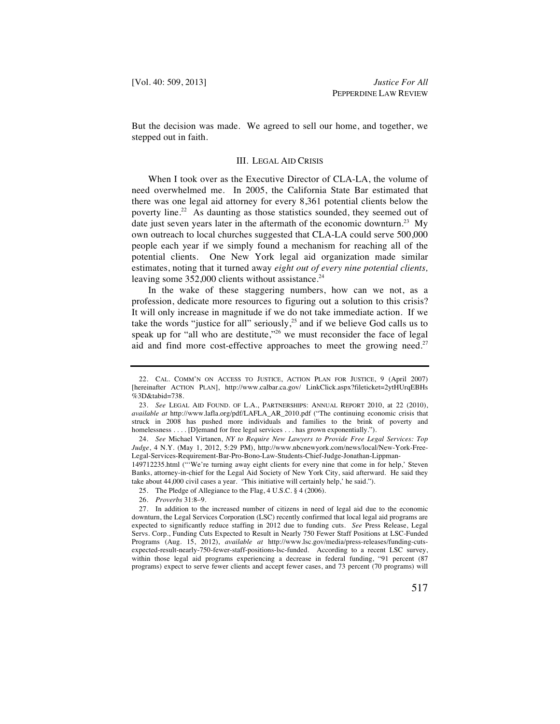But the decision was made. We agreed to sell our home, and together, we stepped out in faith.

## III. LEGAL AID CRISIS

When I took over as the Executive Director of CLA-LA, the volume of need overwhelmed me. In 2005, the California State Bar estimated that there was one legal aid attorney for every 8,361 potential clients below the poverty line.<sup>22</sup> As daunting as those statistics sounded, they seemed out of date just seven years later in the aftermath of the economic downturn.<sup>23</sup> My own outreach to local churches suggested that CLA-LA could serve 500,000 people each year if we simply found a mechanism for reaching all of the potential clients. One New York legal aid organization made similar estimates, noting that it turned away *eight out of every nine potential clients,*  leaving some  $352,000$  clients without assistance.<sup>24</sup>

In the wake of these staggering numbers, how can we not, as a profession, dedicate more resources to figuring out a solution to this crisis? It will only increase in magnitude if we do not take immediate action. If we take the words "justice for all" seriously,<sup>25</sup> and if we believe God calls us to speak up for "all who are destitute,"<sup>26</sup> we must reconsider the face of legal aid and find more cost-effective approaches to meet the growing need.<sup>27</sup>

149712235.html ("'We're turning away eight clients for every nine that come in for help,' Steven Banks, attorney-in-chief for the Legal Aid Society of New York City, said afterward. He said they take about 44,000 civil cases a year. 'This initiative will certainly help,' he said.").

- 25. The Pledge of Allegiance to the Flag, 4 U.S.C. § 4 (2006).
- 26. *Proverbs* 31:8–9.

 <sup>22.</sup> CAL. COMM'N ON ACCESS TO JUSTICE, ACTION PLAN FOR JUSTICE, 9 (April 2007) [hereinafter ACTION PLAN], http://www.calbar.ca.gov/ LinkClick.aspx?fileticket=2ytHUrqEBHs  $%3D&table=738$ .

 <sup>23.</sup> *See* LEGAL AID FOUND. OF L.A., PARTNERSHIPS: ANNUAL REPORT 2010, at 22 (2010), *available at* http://www.lafla.org/pdf/LAFLA\_AR\_2010.pdf ("The continuing economic crisis that struck in 2008 has pushed more individuals and families to the brink of poverty and homelessness . . . . [D]emand for free legal services . . . has grown exponentially.").

 <sup>24.</sup> *See* Michael Virtanen, *NY to Require New Lawyers to Provide Free Legal Services: Top Judge*, 4 N.Y. (May 1, 2012, 5:29 PM), http://www.nbcnewyork.com/news/local/New-York-Free-Legal-Services-Requirement-Bar-Pro-Bono-Law-Students-Chief-Judge-Jonathan-Lippman-

 <sup>27.</sup> In addition to the increased number of citizens in need of legal aid due to the economic downturn, the Legal Services Corporation (LSC) recently confirmed that local legal aid programs are expected to significantly reduce staffing in 2012 due to funding cuts. *See* Press Release, Legal Servs. Corp., Funding Cuts Expected to Result in Nearly 750 Fewer Staff Positions at LSC-Funded Programs (Aug. 15, 2012), *available at* http://www.lsc.gov/media/press-releases/funding-cutsexpected-result-nearly-750-fewer-staff-positions-lsc-funded. According to a recent LSC survey, within those legal aid programs experiencing a decrease in federal funding, "91 percent (87 programs) expect to serve fewer clients and accept fewer cases, and 73 percent (70 programs) will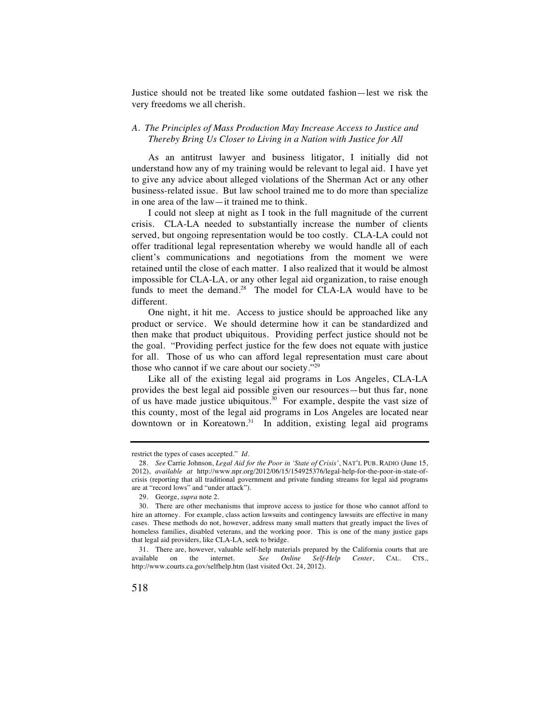Justice should not be treated like some outdated fashion—lest we risk the very freedoms we all cherish.

# *A. The Principles of Mass Production May Increase Access to Justice and Thereby Bring Us Closer to Living in a Nation with Justice for All*

As an antitrust lawyer and business litigator, I initially did not understand how any of my training would be relevant to legal aid. I have yet to give any advice about alleged violations of the Sherman Act or any other business-related issue. But law school trained me to do more than specialize in one area of the law—it trained me to think.

I could not sleep at night as I took in the full magnitude of the current crisis. CLA-LA needed to substantially increase the number of clients served, but ongoing representation would be too costly. CLA-LA could not offer traditional legal representation whereby we would handle all of each client's communications and negotiations from the moment we were retained until the close of each matter. I also realized that it would be almost impossible for CLA-LA, or any other legal aid organization, to raise enough funds to meet the demand.<sup>28</sup> The model for CLA-LA would have to be different.

One night, it hit me. Access to justice should be approached like any product or service. We should determine how it can be standardized and then make that product ubiquitous. Providing perfect justice should not be the goal. "Providing perfect justice for the few does not equate with justice for all. Those of us who can afford legal representation must care about those who cannot if we care about our society."29

Like all of the existing legal aid programs in Los Angeles, CLA-LA provides the best legal aid possible given our resources—but thus far, none of us have made justice ubiquitous.30 For example, despite the vast size of this county, most of the legal aid programs in Los Angeles are located near downtown or in Koreatown.<sup>31</sup> In addition, existing legal aid programs

restrict the types of cases accepted." *Id.*

 <sup>28.</sup> *See* Carrie Johnson, *Legal Aid for the Poor in 'State of Crisis'*, NAT'L PUB. RADIO (June 15, 2012), *available at* http://www.npr.org/2012/06/15/154925376/legal-help-for-the-poor-in-state-ofcrisis (reporting that all traditional government and private funding streams for legal aid programs are at "record lows" and "under attack").

 <sup>29.</sup> George, *supra* note 2.

 <sup>30.</sup> There are other mechanisms that improve access to justice for those who cannot afford to hire an attorney. For example, class action lawsuits and contingency lawsuits are effective in many cases. These methods do not, however, address many small matters that greatly impact the lives of homeless families, disabled veterans, and the working poor. This is one of the many justice gaps that legal aid providers, like CLA-LA, seek to bridge.

<sup>31</sup>*.* There are, however, valuable self-help materials prepared by the California courts that are available on the internet. *See Online Self-Help Center*, CAL. CTS., http://www.courts.ca.gov/selfhelp.htm (last visited Oct. 24, 2012).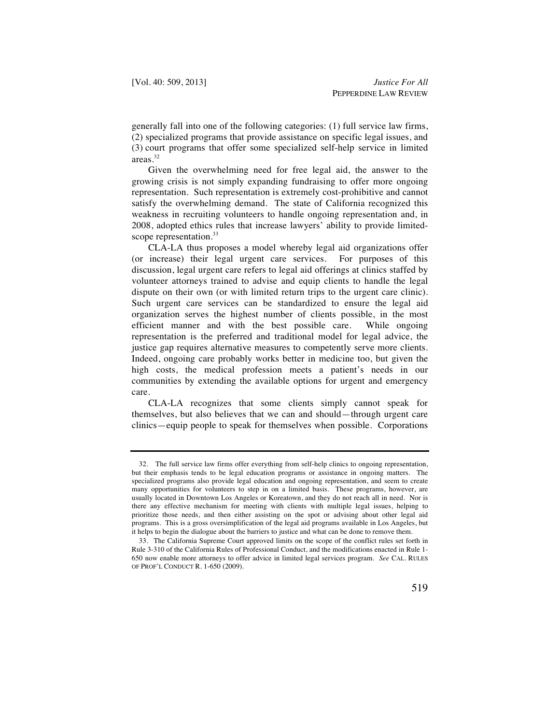generally fall into one of the following categories: (1) full service law firms, (2) specialized programs that provide assistance on specific legal issues, and (3) court programs that offer some specialized self-help service in limited areas.32

Given the overwhelming need for free legal aid, the answer to the growing crisis is not simply expanding fundraising to offer more ongoing representation. Such representation is extremely cost-prohibitive and cannot satisfy the overwhelming demand. The state of California recognized this weakness in recruiting volunteers to handle ongoing representation and, in 2008, adopted ethics rules that increase lawyers' ability to provide limitedscope representation.<sup>33</sup>

CLA-LA thus proposes a model whereby legal aid organizations offer (or increase) their legal urgent care services. For purposes of this discussion, legal urgent care refers to legal aid offerings at clinics staffed by volunteer attorneys trained to advise and equip clients to handle the legal dispute on their own (or with limited return trips to the urgent care clinic). Such urgent care services can be standardized to ensure the legal aid organization serves the highest number of clients possible, in the most efficient manner and with the best possible care. While ongoing representation is the preferred and traditional model for legal advice, the justice gap requires alternative measures to competently serve more clients. Indeed, ongoing care probably works better in medicine too, but given the high costs, the medical profession meets a patient's needs in our communities by extending the available options for urgent and emergency care.

CLA-LA recognizes that some clients simply cannot speak for themselves, but also believes that we can and should—through urgent care clinics—equip people to speak for themselves when possible. Corporations

 <sup>32.</sup> The full service law firms offer everything from self-help clinics to ongoing representation, but their emphasis tends to be legal education programs or assistance in ongoing matters. The specialized programs also provide legal education and ongoing representation, and seem to create many opportunities for volunteers to step in on a limited basis. These programs, however, are usually located in Downtown Los Angeles or Koreatown, and they do not reach all in need. Nor is there any effective mechanism for meeting with clients with multiple legal issues, helping to prioritize those needs, and then either assisting on the spot or advising about other legal aid programs. This is a gross oversimplification of the legal aid programs available in Los Angeles, but it helps to begin the dialogue about the barriers to justice and what can be done to remove them.

 <sup>33.</sup> The California Supreme Court approved limits on the scope of the conflict rules set forth in Rule 3-310 of the California Rules of Professional Conduct, and the modifications enacted in Rule 1- 650 now enable more attorneys to offer advice in limited legal services program. *See* CAL. RULES OF PROF'L CONDUCT R. 1-650 (2009).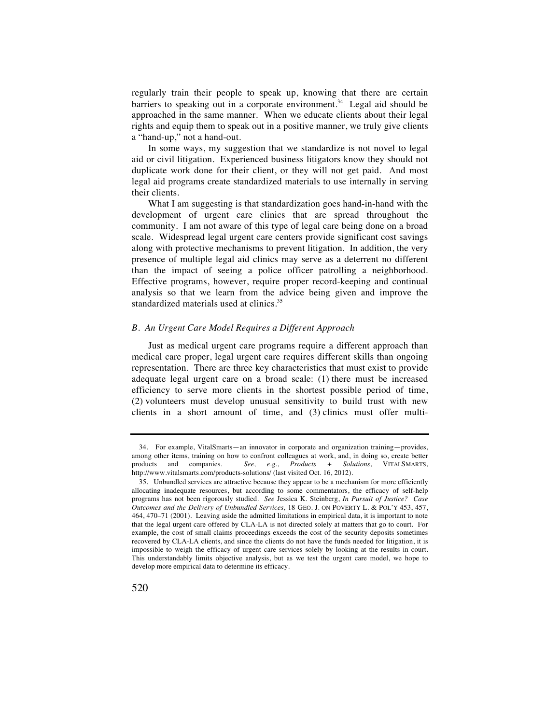regularly train their people to speak up, knowing that there are certain barriers to speaking out in a corporate environment.<sup>34</sup> Legal aid should be approached in the same manner. When we educate clients about their legal rights and equip them to speak out in a positive manner, we truly give clients a "hand-up," not a hand-out.

In some ways, my suggestion that we standardize is not novel to legal aid or civil litigation. Experienced business litigators know they should not duplicate work done for their client, or they will not get paid. And most legal aid programs create standardized materials to use internally in serving their clients.

What I am suggesting is that standardization goes hand-in-hand with the development of urgent care clinics that are spread throughout the community. I am not aware of this type of legal care being done on a broad scale. Widespread legal urgent care centers provide significant cost savings along with protective mechanisms to prevent litigation. In addition, the very presence of multiple legal aid clinics may serve as a deterrent no different than the impact of seeing a police officer patrolling a neighborhood. Effective programs, however, require proper record-keeping and continual analysis so that we learn from the advice being given and improve the standardized materials used at clinics.<sup>35</sup>

# *B. An Urgent Care Model Requires a Different Approach*

Just as medical urgent care programs require a different approach than medical care proper, legal urgent care requires different skills than ongoing representation. There are three key characteristics that must exist to provide adequate legal urgent care on a broad scale: (1) there must be increased efficiency to serve more clients in the shortest possible period of time, (2) volunteers must develop unusual sensitivity to build trust with new clients in a short amount of time, and (3) clinics must offer multi-

 <sup>34.</sup> For example, VitalSmarts—an innovator in corporate and organization training—provides, among other items, training on how to confront colleagues at work, and, in doing so, create better products and companies. *See, e.g.*, *Products + Solutions*, VITALSMARTS, http://www.vitalsmarts.com/products-solutions/ (last visited Oct. 16, 2012).

 <sup>35.</sup> Unbundled services are attractive because they appear to be a mechanism for more efficiently allocating inadequate resources, but according to some commentators, the efficacy of self-help programs has not been rigorously studied. *See* Jessica K. Steinberg, *In Pursuit of Justice? Case Outcomes and the Delivery of Unbundled Services,* 18 GEO. J. ON POVERTY L. & POL'Y 453, 457, 464, 470–71 (2001). Leaving aside the admitted limitations in empirical data, it is important to note that the legal urgent care offered by CLA-LA is not directed solely at matters that go to court. For example, the cost of small claims proceedings exceeds the cost of the security deposits sometimes recovered by CLA-LA clients, and since the clients do not have the funds needed for litigation, it is impossible to weigh the efficacy of urgent care services solely by looking at the results in court. This understandably limits objective analysis, but as we test the urgent care model, we hope to develop more empirical data to determine its efficacy.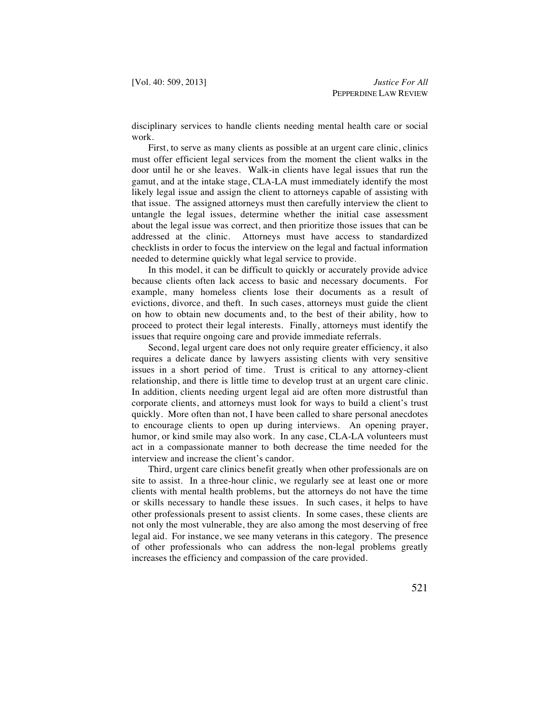disciplinary services to handle clients needing mental health care or social work.

First, to serve as many clients as possible at an urgent care clinic, clinics must offer efficient legal services from the moment the client walks in the door until he or she leaves. Walk-in clients have legal issues that run the gamut, and at the intake stage, CLA-LA must immediately identify the most likely legal issue and assign the client to attorneys capable of assisting with that issue. The assigned attorneys must then carefully interview the client to untangle the legal issues, determine whether the initial case assessment about the legal issue was correct, and then prioritize those issues that can be addressed at the clinic. Attorneys must have access to standardized checklists in order to focus the interview on the legal and factual information needed to determine quickly what legal service to provide.

In this model, it can be difficult to quickly or accurately provide advice because clients often lack access to basic and necessary documents. For example, many homeless clients lose their documents as a result of evictions, divorce, and theft. In such cases, attorneys must guide the client on how to obtain new documents and, to the best of their ability, how to proceed to protect their legal interests. Finally, attorneys must identify the issues that require ongoing care and provide immediate referrals.

Second, legal urgent care does not only require greater efficiency, it also requires a delicate dance by lawyers assisting clients with very sensitive issues in a short period of time. Trust is critical to any attorney-client relationship, and there is little time to develop trust at an urgent care clinic. In addition, clients needing urgent legal aid are often more distrustful than corporate clients, and attorneys must look for ways to build a client's trust quickly. More often than not, I have been called to share personal anecdotes to encourage clients to open up during interviews. An opening prayer, humor, or kind smile may also work. In any case, CLA-LA volunteers must act in a compassionate manner to both decrease the time needed for the interview and increase the client's candor.

Third, urgent care clinics benefit greatly when other professionals are on site to assist. In a three-hour clinic, we regularly see at least one or more clients with mental health problems, but the attorneys do not have the time or skills necessary to handle these issues. In such cases, it helps to have other professionals present to assist clients. In some cases, these clients are not only the most vulnerable, they are also among the most deserving of free legal aid. For instance, we see many veterans in this category. The presence of other professionals who can address the non-legal problems greatly increases the efficiency and compassion of the care provided.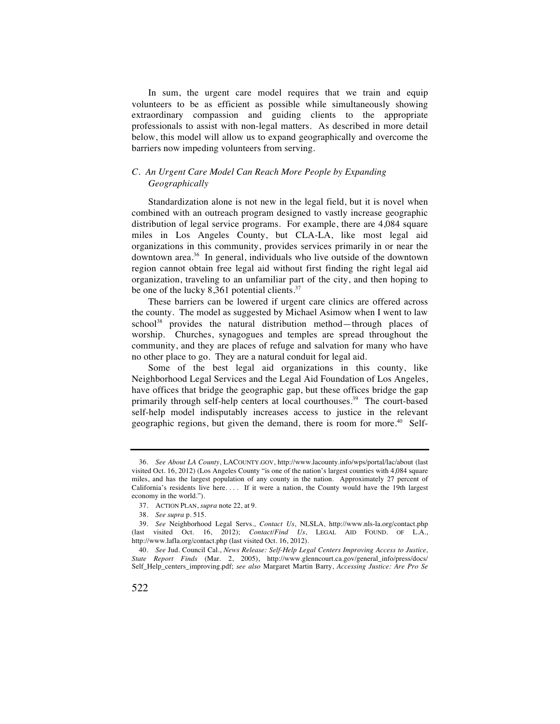In sum, the urgent care model requires that we train and equip volunteers to be as efficient as possible while simultaneously showing extraordinary compassion and guiding clients to the appropriate professionals to assist with non-legal matters. As described in more detail below, this model will allow us to expand geographically and overcome the barriers now impeding volunteers from serving.

# *C. An Urgent Care Model Can Reach More People by Expanding Geographically*

Standardization alone is not new in the legal field, but it is novel when combined with an outreach program designed to vastly increase geographic distribution of legal service programs. For example, there are 4,084 square miles in Los Angeles County, but CLA-LA, like most legal aid organizations in this community, provides services primarily in or near the downtown area.36 In general, individuals who live outside of the downtown region cannot obtain free legal aid without first finding the right legal aid organization, traveling to an unfamiliar part of the city, and then hoping to be one of the lucky 8,361 potential clients.<sup>37</sup>

These barriers can be lowered if urgent care clinics are offered across the county. The model as suggested by Michael Asimow when I went to law school<sup>38</sup> provides the natural distribution method—through places of worship. Churches, synagogues and temples are spread throughout the community, and they are places of refuge and salvation for many who have no other place to go. They are a natural conduit for legal aid.

Some of the best legal aid organizations in this county, like Neighborhood Legal Services and the Legal Aid Foundation of Los Angeles, have offices that bridge the geographic gap, but these offices bridge the gap primarily through self-help centers at local courthouses.<sup>39</sup> The court-based self-help model indisputably increases access to justice in the relevant geographic regions, but given the demand, there is room for more.<sup>40</sup> Self-

 <sup>36.</sup> *See About LA County*, LACOUNTY.GOV, http://www.lacounty.info/wps/portal/lac/about (last visited Oct. 16, 2012) (Los Angeles County "is one of the nation's largest counties with 4,084 square miles, and has the largest population of any county in the nation. Approximately 27 percent of California's residents live here. . . . If it were a nation, the County would have the 19th largest economy in the world.").

 <sup>37.</sup> ACTION PLAN, *supra* note 22, at 9.

 <sup>38.</sup> *See supra* p. 515.

 <sup>39.</sup> *See* Neighborhood Legal Servs., *Contact Us*, NLSLA, http://www.nls-la.org/contact.php (last visited Oct. 16, 2012); *Contact/Find Us*, LEGAL AID FOUND. OF L.A., http://www.lafla.org/contact.php (last visited Oct. 16, 2012).

 <sup>40.</sup> *See* Jud. Council Cal., *News Release: Self-Help Legal Centers Improving Access to Justice, State Report Finds* (Mar. 2, 2005), http://www.glenncourt.ca.gov/general\_info/press/docs/ Self\_Help\_centers\_improving.pdf; *see also* Margaret Martin Barry, *Accessing Justice: Are Pro Se*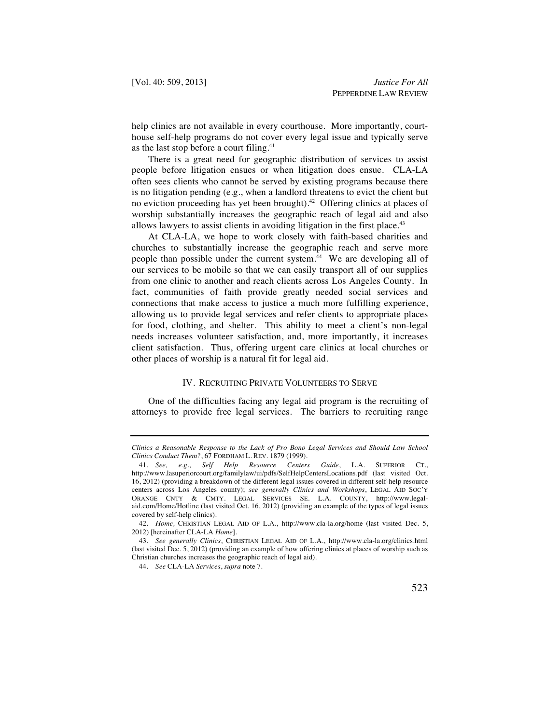help clinics are not available in every courthouse. More importantly, courthouse self-help programs do not cover every legal issue and typically serve as the last stop before a court filing.<sup>41</sup>

There is a great need for geographic distribution of services to assist people before litigation ensues or when litigation does ensue. CLA-LA often sees clients who cannot be served by existing programs because there is no litigation pending (e.g., when a landlord threatens to evict the client but no eviction proceeding has yet been brought).42 Offering clinics at places of worship substantially increases the geographic reach of legal aid and also allows lawyers to assist clients in avoiding litigation in the first place.<sup>43</sup>

At CLA-LA, we hope to work closely with faith-based charities and churches to substantially increase the geographic reach and serve more people than possible under the current system.<sup>44</sup> We are developing all of our services to be mobile so that we can easily transport all of our supplies from one clinic to another and reach clients across Los Angeles County. In fact, communities of faith provide greatly needed social services and connections that make access to justice a much more fulfilling experience, allowing us to provide legal services and refer clients to appropriate places for food, clothing, and shelter. This ability to meet a client's non-legal needs increases volunteer satisfaction, and, more importantly, it increases client satisfaction. Thus, offering urgent care clinics at local churches or other places of worship is a natural fit for legal aid.

## IV. RECRUITING PRIVATE VOLUNTEERS TO SERVE

One of the difficulties facing any legal aid program is the recruiting of attorneys to provide free legal services. The barriers to recruiting range

*Clinics a Reasonable Response to the Lack of Pro Bono Legal Services and Should Law School Clinics Conduct Them?*, 67 FORDHAM L. REV. 1879 (1999).

 <sup>41.</sup> *See, e.g.*, *Self Help Resource Centers Guide*, L.A. SUPERIOR CT., http://www.lasuperiorcourt.org/familylaw/ui/pdfs/SelfHelpCentersLocations.pdf (last visited Oct. 16, 2012) (providing a breakdown of the different legal issues covered in different self-help resource centers across Los Angeles county); *see generally Clinics and Workshops*, LEGAL AID SOC'Y ORANGE CNTY & CMTY. LEGAL SERVICES SE. L.A. COUNTY, http://www.legalaid.com/Home/Hotline (last visited Oct. 16, 2012) (providing an example of the types of legal issues covered by self-help clinics).

 <sup>42.</sup> *Home,* CHRISTIAN LEGAL AID OF L.A., http://www.cla-la.org/home (last visited Dec. 5, 2012) [hereinafter CLA-LA *Home*].

 <sup>43.</sup> *See generally Clinics*, CHRISTIAN LEGAL AID OF L.A., http://www.cla-la.org/clinics.html (last visited Dec. 5, 2012) (providing an example of how offering clinics at places of worship such as Christian churches increases the geographic reach of legal aid).

 <sup>44.</sup> *See* CLA-LA *Services*, *supra* note 7.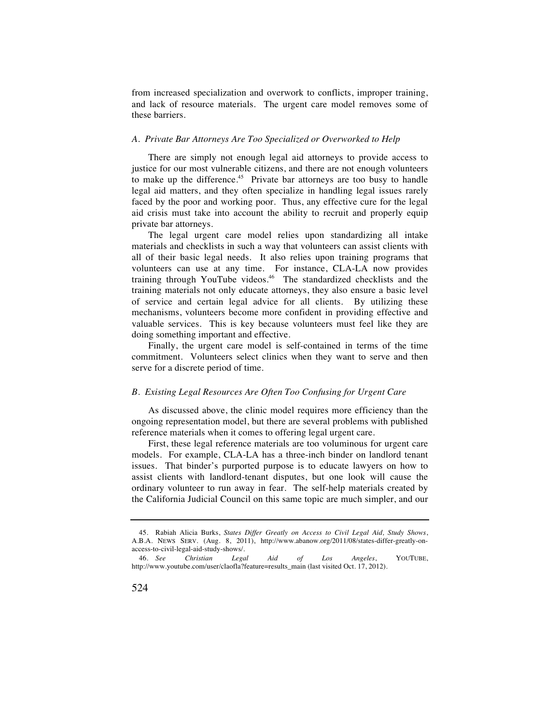from increased specialization and overwork to conflicts, improper training, and lack of resource materials. The urgent care model removes some of these barriers.

## *A. Private Bar Attorneys Are Too Specialized or Overworked to Help*

There are simply not enough legal aid attorneys to provide access to justice for our most vulnerable citizens, and there are not enough volunteers to make up the difference.<sup>45</sup> Private bar attorneys are too busy to handle legal aid matters, and they often specialize in handling legal issues rarely faced by the poor and working poor. Thus, any effective cure for the legal aid crisis must take into account the ability to recruit and properly equip private bar attorneys.

The legal urgent care model relies upon standardizing all intake materials and checklists in such a way that volunteers can assist clients with all of their basic legal needs. It also relies upon training programs that volunteers can use at any time. For instance, CLA-LA now provides training through YouTube videos.<sup>46</sup> The standardized checklists and the training materials not only educate attorneys, they also ensure a basic level of service and certain legal advice for all clients. By utilizing these mechanisms, volunteers become more confident in providing effective and valuable services. This is key because volunteers must feel like they are doing something important and effective.

Finally, the urgent care model is self-contained in terms of the time commitment. Volunteers select clinics when they want to serve and then serve for a discrete period of time.

#### *B. Existing Legal Resources Are Often Too Confusing for Urgent Care*

As discussed above, the clinic model requires more efficiency than the ongoing representation model, but there are several problems with published reference materials when it comes to offering legal urgent care.

First, these legal reference materials are too voluminous for urgent care models. For example, CLA-LA has a three-inch binder on landlord tenant issues. That binder's purported purpose is to educate lawyers on how to assist clients with landlord-tenant disputes, but one look will cause the ordinary volunteer to run away in fear. The self-help materials created by the California Judicial Council on this same topic are much simpler, and our

 <sup>45.</sup> Rabiah Alicia Burks, *States Differ Greatly on Access to Civil Legal Aid, Study Shows*, A.B.A. NEWS SERV. (Aug. 8, 2011), http://www.abanow.org/2011/08/states-differ-greatly-onaccess-to-civil-legal-aid-study-shows/.

 <sup>46.</sup> *See Christian Legal Aid of Los Angeles*, YOUTUBE, http://www.youtube.com/user/claofla?feature=results\_main (last visited Oct. 17, 2012).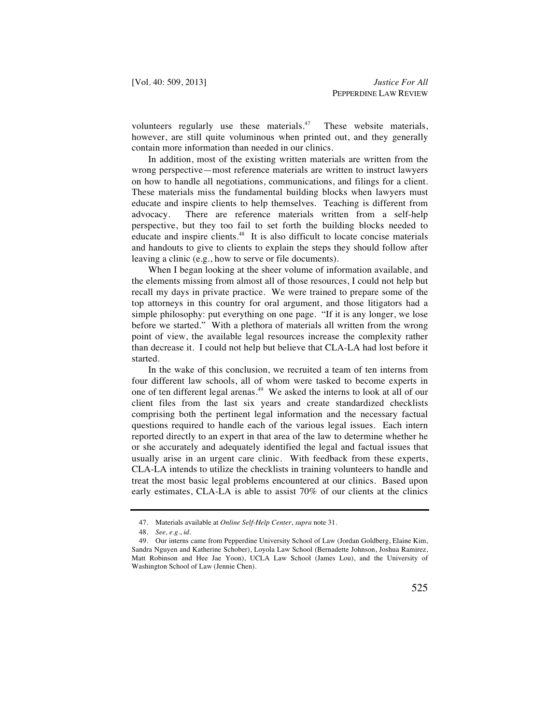volunteers regularly use these materials.<sup>47</sup> These website materials, however, are still quite voluminous when printed out, and they generally contain more information than needed in our clinics.

In addition, most of the existing written materials are written from the wrong perspective—most reference materials are written to instruct lawyers on how to handle all negotiations, communications, and filings for a client. These materials miss the fundamental building blocks when lawyers must educate and inspire clients to help themselves. Teaching is different from advocacy. There are reference materials written from a self-help perspective, but they too fail to set forth the building blocks needed to educate and inspire clients.48 It is also difficult to locate concise materials and handouts to give to clients to explain the steps they should follow after leaving a clinic (e.g., how to serve or file documents).

When I began looking at the sheer volume of information available, and the elements missing from almost all of those resources, I could not help but recall my days in private practice. We were trained to prepare some of the top attorneys in this country for oral argument, and those litigators had a simple philosophy: put everything on one page. "If it is any longer, we lose before we started." With a plethora of materials all written from the wrong point of view, the available legal resources increase the complexity rather than decrease it. I could not help but believe that CLA-LA had lost before it started.

In the wake of this conclusion, we recruited a team of ten interns from four different law schools, all of whom were tasked to become experts in one of ten different legal arenas.<sup>49</sup> We asked the interns to look at all of our client files from the last six years and create standardized checklists comprising both the pertinent legal information and the necessary factual questions required to handle each of the various legal issues. Each intern reported directly to an expert in that area of the law to determine whether he or she accurately and adequately identified the legal and factual issues that usually arise in an urgent care clinic. With feedback from these experts, CLA-LA intends to utilize the checklists in training volunteers to handle and treat the most basic legal problems encountered at our clinics. Based upon early estimates, CLA-LA is able to assist 70% of our clients at the clinics

 <sup>47.</sup> Materials available at *Online Self-Help Center*, *supra* note 31.

 <sup>48.</sup> *See, e.g.*, *id.*

 <sup>49.</sup> Our interns came from Pepperdine University School of Law (Jordan Goldberg, Elaine Kim, Sandra Nguyen and Katherine Schober), Loyola Law School (Bernadette Johnson, Joshua Ramirez, Matt Robinson and Hee Jae Yoon), UCLA Law School (James Lou), and the University of Washington School of Law (Jennie Chen).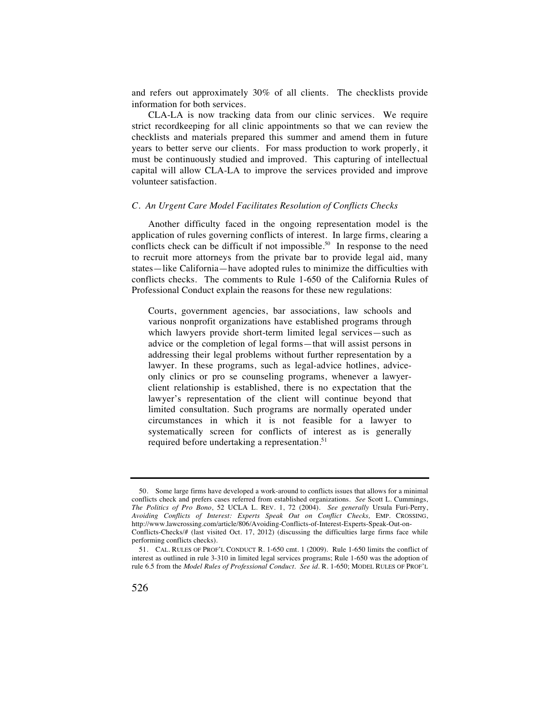and refers out approximately 30% of all clients. The checklists provide information for both services.

CLA-LA is now tracking data from our clinic services. We require strict recordkeeping for all clinic appointments so that we can review the checklists and materials prepared this summer and amend them in future years to better serve our clients. For mass production to work properly, it must be continuously studied and improved. This capturing of intellectual capital will allow CLA-LA to improve the services provided and improve volunteer satisfaction.

#### *C. An Urgent Care Model Facilitates Resolution of Conflicts Checks*

Another difficulty faced in the ongoing representation model is the application of rules governing conflicts of interest. In large firms, clearing a conflicts check can be difficult if not impossible.<sup>50</sup> In response to the need to recruit more attorneys from the private bar to provide legal aid, many states—like California—have adopted rules to minimize the difficulties with conflicts checks. The comments to Rule 1-650 of the California Rules of Professional Conduct explain the reasons for these new regulations:

Courts, government agencies, bar associations, law schools and various nonprofit organizations have established programs through which lawyers provide short-term limited legal services—such as advice or the completion of legal forms—that will assist persons in addressing their legal problems without further representation by a lawyer. In these programs, such as legal-advice hotlines, adviceonly clinics or pro se counseling programs, whenever a lawyerclient relationship is established, there is no expectation that the lawyer's representation of the client will continue beyond that limited consultation. Such programs are normally operated under circumstances in which it is not feasible for a lawyer to systematically screen for conflicts of interest as is generally required before undertaking a representation.<sup>51</sup>

 <sup>50.</sup> Some large firms have developed a work-around to conflicts issues that allows for a minimal conflicts check and prefers cases referred from established organizations. *See* Scott L. Cummings, *The Politics of Pro Bono*, 52 UCLA L. REV. 1, 72 (2004). *See generally* Ursula Furi-Perry, *Avoiding Conflicts of Interest: Experts Speak Out on Conflict Checks,* EMP. CROSSING, http://www.lawcrossing.com/article/806/Avoiding-Conflicts-of-Interest-Experts-Speak-Out-on-Conflicts-Checks/# (last visited Oct. 17, 2012) (discussing the difficulties large firms face while performing conflicts checks).

 <sup>51.</sup> CAL. RULES OF PROF'L CONDUCT R. 1-650 cmt. 1 (2009). Rule 1-650 limits the conflict of interest as outlined in rule 3-310 in limited legal services programs; Rule 1-650 was the adoption of rule 6.5 from the *Model Rules of Professional Conduct*. *See id.* R. 1-650; MODEL RULES OF PROF'L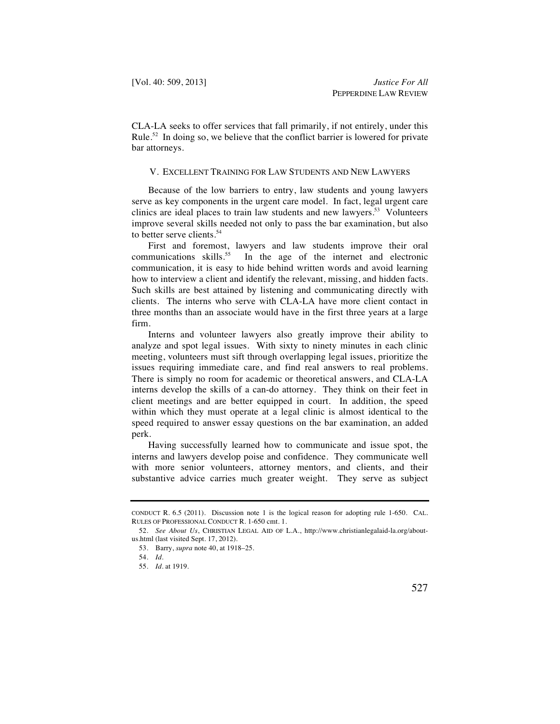CLA-LA seeks to offer services that fall primarily, if not entirely, under this Rule.<sup>52</sup> In doing so, we believe that the conflict barrier is lowered for private bar attorneys.

# V. EXCELLENT TRAINING FOR LAW STUDENTS AND NEW LAWYERS

Because of the low barriers to entry, law students and young lawyers serve as key components in the urgent care model. In fact, legal urgent care clinics are ideal places to train law students and new lawyers.<sup>53</sup> Volunteers improve several skills needed not only to pass the bar examination, but also to better serve clients.<sup>54</sup>

First and foremost, lawyers and law students improve their oral communications skills.<sup>55</sup> In the age of the internet and electronic communication, it is easy to hide behind written words and avoid learning how to interview a client and identify the relevant, missing, and hidden facts. Such skills are best attained by listening and communicating directly with clients. The interns who serve with CLA-LA have more client contact in three months than an associate would have in the first three years at a large firm.

Interns and volunteer lawyers also greatly improve their ability to analyze and spot legal issues. With sixty to ninety minutes in each clinic meeting, volunteers must sift through overlapping legal issues, prioritize the issues requiring immediate care, and find real answers to real problems. There is simply no room for academic or theoretical answers, and CLA-LA interns develop the skills of a can-do attorney. They think on their feet in client meetings and are better equipped in court. In addition, the speed within which they must operate at a legal clinic is almost identical to the speed required to answer essay questions on the bar examination, an added perk.

Having successfully learned how to communicate and issue spot, the interns and lawyers develop poise and confidence. They communicate well with more senior volunteers, attorney mentors, and clients, and their substantive advice carries much greater weight. They serve as subject

CONDUCT R. 6.5 (2011). Discussion note 1 is the logical reason for adopting rule 1-650. CAL. RULES OF PROFESSIONAL CONDUCT R. 1-650 cmt. 1.

 <sup>52.</sup> *See About Us*, CHRISTIAN LEGAL AID OF L.A., http://www.christianlegalaid-la.org/aboutus.html (last visited Sept. 17, 2012).

 <sup>53.</sup> Barry, *supra* note 40, at 1918–25.

 <sup>54.</sup> *Id.*

 <sup>55.</sup> *Id.* at 1919.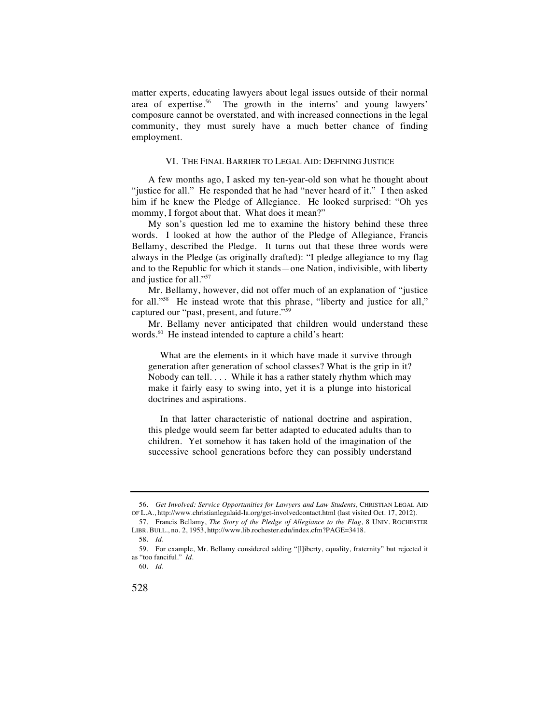matter experts, educating lawyers about legal issues outside of their normal area of expertise.<sup>56</sup> The growth in the interns' and young lawyers' composure cannot be overstated, and with increased connections in the legal community, they must surely have a much better chance of finding employment.

### VI. THE FINAL BARRIER TO LEGAL AID: DEFINING JUSTICE

A few months ago, I asked my ten-year-old son what he thought about "justice for all." He responded that he had "never heard of it." I then asked him if he knew the Pledge of Allegiance. He looked surprised: "Oh yes mommy, I forgot about that. What does it mean?"

My son's question led me to examine the history behind these three words. I looked at how the author of the Pledge of Allegiance, Francis Bellamy, described the Pledge. It turns out that these three words were always in the Pledge (as originally drafted): "I pledge allegiance to my flag and to the Republic for which it stands—one Nation, indivisible, with liberty and justice for all."57

Mr. Bellamy, however, did not offer much of an explanation of "justice for all."<sup>58</sup> He instead wrote that this phrase, "liberty and justice for all," captured our "past, present, and future."59

Mr. Bellamy never anticipated that children would understand these words.<sup>60</sup> He instead intended to capture a child's heart:

 What are the elements in it which have made it survive through generation after generation of school classes? What is the grip in it? Nobody can tell. . . . While it has a rather stately rhythm which may make it fairly easy to swing into, yet it is a plunge into historical doctrines and aspirations.

 In that latter characteristic of national doctrine and aspiration, this pledge would seem far better adapted to educated adults than to children. Yet somehow it has taken hold of the imagination of the successive school generations before they can possibly understand

 <sup>56.</sup> *Get Involved: Service Opportunities for Lawyers and Law Students*, CHRISTIAN LEGAL AID OF L.A., http://www.christianlegalaid-la.org/get-involvedcontact.html (last visited Oct. 17, 2012).

 <sup>57.</sup> Francis Bellamy, *The Story of the Pledge of Allegiance to the Flag*, 8 UNIV. ROCHESTER LIBR. BULL., no. 2, 1953, http://www.lib.rochester.edu/index.cfm?PAGE=3418.

 <sup>58.</sup> *Id.*

 <sup>59.</sup> For example, Mr. Bellamy considered adding "[l]iberty, equality, fraternity" but rejected it as "too fanciful." *Id.*

 <sup>60.</sup> *Id.*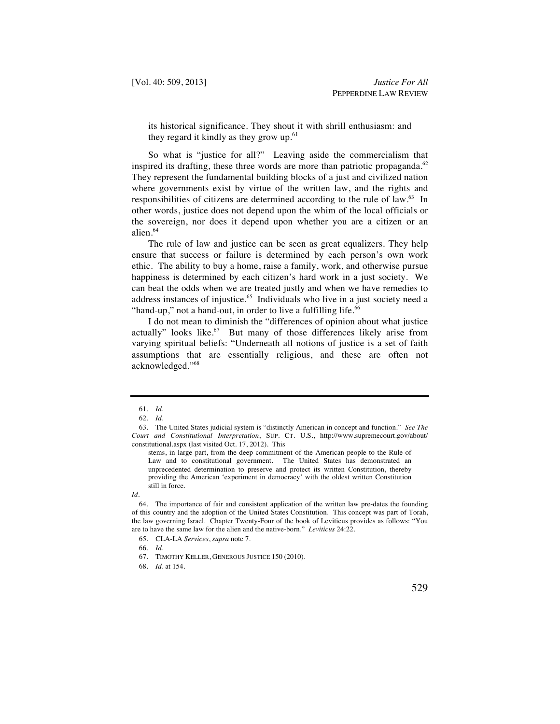its historical significance. They shout it with shrill enthusiasm: and they regard it kindly as they grow  $up^{61}$ .

So what is "justice for all?" Leaving aside the commercialism that inspired its drafting, these three words are more than patriotic propaganda.<sup>62</sup> They represent the fundamental building blocks of a just and civilized nation where governments exist by virtue of the written law, and the rights and responsibilities of citizens are determined according to the rule of law.63 In other words, justice does not depend upon the whim of the local officials or the sovereign, nor does it depend upon whether you are a citizen or an alien.<sup>64</sup>

The rule of law and justice can be seen as great equalizers. They help ensure that success or failure is determined by each person's own work ethic. The ability to buy a home, raise a family, work, and otherwise pursue happiness is determined by each citizen's hard work in a just society. We can beat the odds when we are treated justly and when we have remedies to address instances of injustice.<sup>65</sup> Individuals who live in a just society need a "hand-up," not a hand-out, in order to live a fulfilling life.<sup>66</sup>

I do not mean to diminish the "differences of opinion about what justice actually" looks like.<sup>67</sup> But many of those differences likely arise from varying spiritual beliefs: "Underneath all notions of justice is a set of faith assumptions that are essentially religious, and these are often not acknowledged."68

stems, in large part, from the deep commitment of the American people to the Rule of Law and to constitutional government. The United States has demonstrated an unprecedented determination to preserve and protect its written Constitution, thereby providing the American 'experiment in democracy' with the oldest written Constitution still in force.

 <sup>61.</sup> *Id.*

 <sup>62.</sup> *Id.*

 <sup>63.</sup> The United States judicial system is "distinctly American in concept and function." *See The Court and Constitutional Interpretation*, SUP. CT. U.S., http://www.supremecourt.gov/about/ constitutional.aspx (last visited Oct. 17, 2012). This

*Id.*

 <sup>64.</sup> The importance of fair and consistent application of the written law pre-dates the founding of this country and the adoption of the United States Constitution. This concept was part of Torah, the law governing Israel. Chapter Twenty-Four of the book of Leviticus provides as follows: "You are to have the same law for the alien and the native-born." *Leviticus* 24:22.

 <sup>65.</sup> CLA-LA *Services*, *supra* note 7.

 <sup>66.</sup> *Id.*

 <sup>67.</sup> TIMOTHY KELLER, GENEROUS JUSTICE 150 (2010).

 <sup>68.</sup> *Id.* at 154.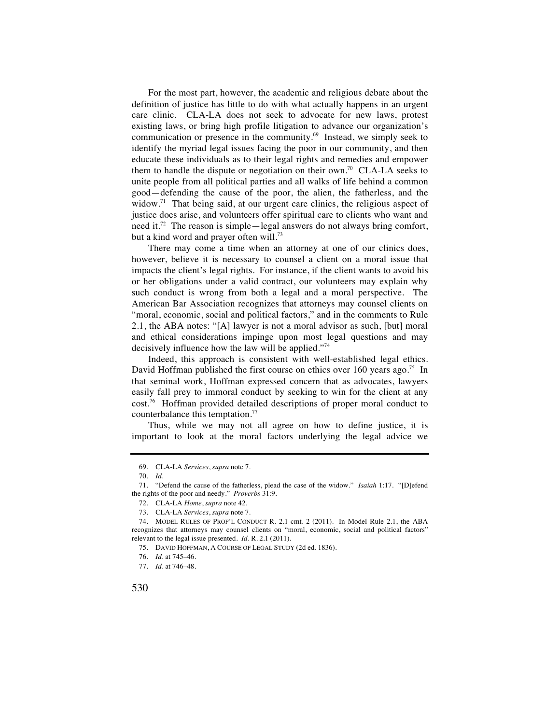For the most part, however, the academic and religious debate about the definition of justice has little to do with what actually happens in an urgent care clinic. CLA-LA does not seek to advocate for new laws, protest existing laws, or bring high profile litigation to advance our organization's communication or presence in the community.69 Instead, we simply seek to identify the myriad legal issues facing the poor in our community, and then educate these individuals as to their legal rights and remedies and empower them to handle the dispute or negotiation on their own.<sup>70</sup> CLA-LA seeks to unite people from all political parties and all walks of life behind a common good—defending the cause of the poor, the alien, the fatherless, and the widow.<sup>71</sup> That being said, at our urgent care clinics, the religious aspect of justice does arise, and volunteers offer spiritual care to clients who want and need it.72 The reason is simple—legal answers do not always bring comfort, but a kind word and prayer often will.<sup>73</sup>

There may come a time when an attorney at one of our clinics does, however, believe it is necessary to counsel a client on a moral issue that impacts the client's legal rights. For instance, if the client wants to avoid his or her obligations under a valid contract, our volunteers may explain why such conduct is wrong from both a legal and a moral perspective. The American Bar Association recognizes that attorneys may counsel clients on "moral, economic, social and political factors," and in the comments to Rule 2.1, the ABA notes: "[A] lawyer is not a moral advisor as such, [but] moral and ethical considerations impinge upon most legal questions and may decisively influence how the law will be applied."74

Indeed, this approach is consistent with well-established legal ethics. David Hoffman published the first course on ethics over 160 years ago.<sup>75</sup> In that seminal work, Hoffman expressed concern that as advocates, lawyers easily fall prey to immoral conduct by seeking to win for the client at any cost.76 Hoffman provided detailed descriptions of proper moral conduct to counterbalance this temptation.<sup>77</sup>

Thus, while we may not all agree on how to define justice, it is important to look at the moral factors underlying the legal advice we

 <sup>69.</sup> CLA-LA *Services*, *supra* note 7.

 <sup>70.</sup> *Id.*

 <sup>71. &</sup>quot;Defend the cause of the fatherless, plead the case of the widow." *Isaiah* 1:17. "[D]efend the rights of the poor and needy." *Proverbs* 31:9.

 <sup>72.</sup> CLA-LA *Home*, *supra* note 42.

 <sup>73.</sup> CLA-LA *Services*, *supra* note 7.

 <sup>74.</sup> MODEL RULES OF PROF'L CONDUCT R. 2.1 cmt. 2 (2011). In Model Rule 2.1, the ABA recognizes that attorneys may counsel clients on "moral, economic, social and political factors" relevant to the legal issue presented. *Id.* R. 2.1 (2011).

 <sup>75.</sup> DAVID HOFFMAN, A COURSE OF LEGAL STUDY (2d ed. 1836).

 <sup>76.</sup> *Id.* at 745–46.

 <sup>77.</sup> *Id.* at 746–48.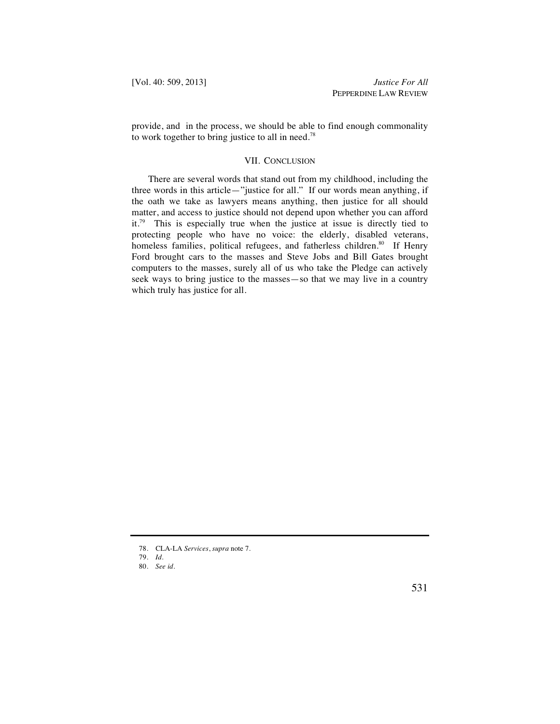provide, and in the process, we should be able to find enough commonality to work together to bring justice to all in need.<sup>78</sup>

# VII. CONCLUSION

There are several words that stand out from my childhood, including the three words in this article—"justice for all." If our words mean anything, if the oath we take as lawyers means anything, then justice for all should matter, and access to justice should not depend upon whether you can afford it.79 This is especially true when the justice at issue is directly tied to protecting people who have no voice: the elderly, disabled veterans, homeless families, political refugees, and fatherless children.<sup>80</sup> If Henry Ford brought cars to the masses and Steve Jobs and Bill Gates brought computers to the masses, surely all of us who take the Pledge can actively seek ways to bring justice to the masses—so that we may live in a country which truly has justice for all.

79. *Id.*

 <sup>78.</sup> CLA-LA *Services*, *supra* note 7.

 <sup>80.</sup> *See id.*